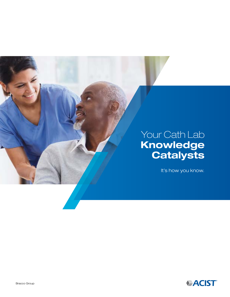

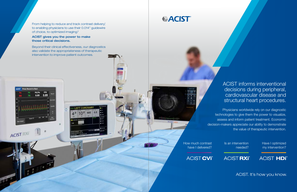ACIST informs interventional decisions during peripheral, cardiovascular disease and structural heart procedures.

Physicians worldwide rely on our diagnostic technologies to give them the power to visualize, assess and inform patient treatment. Economic decision-makers appreciate our ability to demonstrate the value of therapeutic intervention.

From helping to reduce and track contrast delivery<sup>1</sup>, to enabling physicians to use their 0.014" guidewire of choice, to optimized imaging.2

> How much contrast have I delivered?



Is an intervention needed?

**ACIST HDi**<sup>®</sup>

![](_page_1_Picture_11.jpeg)

Have I optimized my intervention?

ACIST. It's how you know.

### ACIST gives you the power to make those critical decisions.

**Press Record to Start** 

ACIST RXF

Pd/Pa 0.89

Beyond their clinical effectiveness, our diagnostics also validate the appropriateness of therapeutic intervention to improve patient outcomes.

# *VACIST*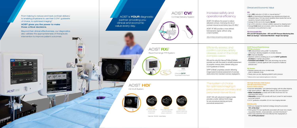**LumenView** ™ For a better defined lumen border visualization\* For a softer gray scale

![](_page_2_Picture_42.jpeg)

SilkView ™

**ClassicView** ™ Utilizes blood speckle to define the intravascular space\*

and more defined plaque visualization\*

### Efficiently assess, and confirm coronary artery disease, even in the most complex cases

RXi and the ultra-thin Navvus ®II MicroCatheter provides you with the power to simplify assessment of complex coronary artery disease using your 0.014"guidewire of choice.

QFR ® is Medis' proprietary solution delivering image-based functional assessment of coronary obstructions from standard coronary angiograms.

### The system of choice for optimized imaging in percutaneous coronary and peripheral interventions

ACIST HDi with advanced imaging modes provides a better defined IVUS image for pre procedural planning and post procedural assessment.2

- Up to 30% reduction in CI-AKI vs. manual injection<sup>1,2</sup>
- 49.4% of Interventional Cardiologists have experienced at least one orthopedic injury. 3 CVi may reduce repetitive stress injuries that can be caused by manual contrast injection.
- Average CI-AKI cost to the hospital: \$9,448<sup>4</sup>
- Up to 50% reduction in clinician radiation exposure by stepping back.<sup>5</sup>
- Average 5 min faster per procedure, which may allow for additional procedures to be performed in a day 6

## Increase safety and operational efficiency

ACIST CVi delivers the power to reduce delivered contrast, minimizing the risk of contrast-induced acute kidney injury (CI-AKI).\*

ACIST AT X65 provides a more defined hemodynamic signal, without using a hand manifold.

- $\bullet$  13% reduced lesion entry profile<sup>7,8</sup> to streamline contouring in allowing navigation of complex diseases.
- 28% improved flexibility<sup>9</sup>
- Maximize control by enabling you to use the 0.014" guidewire of choice to maintain wire position
- Consistent and reliable<sup>10</sup> fiber optic technology may be less susceptible to clinically significant drift compared to traditional pressure wire.\*

#### CVi

ACIST is **YOUR** diagnostic partner providing you clinical and economic value every day.

![](_page_2_Picture_4.jpeg)

![](_page_2_Picture_5.jpeg)

**ACTST** 

![](_page_2_Picture_7.jpeg)

**ACIST CVi**<sup>®</sup>

From helping to reduce and track contrast delivery<sup>1</sup>, to enabling physicians to use their 0.014" guidewire of choice, to optimized imaging.2

#### CVi Consumable Kits

• High-speed pullback –  $10x$  faster pullback; 90%-time reduction<sup>12</sup> • Better visualization of media with 60 MHz IVUS than OCT for

ATX and ATP Simplicity Sets • ATX and ATP Pressure Monitoring Sets Multi-use Syringe • Automated Manifold • Single-Use Syringe

## **ACIST RXi**<sup>®</sup> Rapid Exchange FFR System

![](_page_2_Picture_22.jpeg)

![](_page_2_Picture_23.jpeg)

#### ACIST NavvusII Rapid Exchange FFR MicroCatheter

 $\bullet$  Improved deliverability<sup>11</sup> and optimized imaging<sup>2</sup> with the offset distal tip • Interactive compact HDi console with touch screen for rapid analysis • IVUS-guided PCI was significantly associated with lower risk of death,

myocardial infarction, revascularization, and stent thrombosis<sup>14</sup> • IVUS is less expensive and more effective than angiography in

Medis **QFR**® Quantitative Flow Ratio

#### RXi System

- Requires zeroing only once, at initial install, when in stationary mode
- Ready when you are, displaying patient's aortic pressure

\* Difference did not reach statistical significance in clinical trial

### Clinical and Economic Value

\*When compared to manual injection of contrast media: 22% reduction in contrast use without compromising image quality 1

\*Data on file - TR-07057 – Internal Testing

#### ACIST gives you the power to make those critical decisions.

**ACIST** Press Record to Start

**ACIST RXT** 

Pd/Pa

76 0.89 0.89

**FFR** 

Beyond their clinical effectiveness, our diagnostics also validate the appropriateness of therapeutic intervention to improve patient outcomes.

LEFT CORONARY

HDi High-Definition IVUS System with Extended Field of View Kodama IVUS Catheter

optimizing stent sizing<sup>13</sup>

and small footprint

74% of the time $^{\scriptscriptstyle 13}$ 

71% of PCI procedures<sup>15</sup>

• 0.014" guidewire compatible; 20 mm max imaging diameter

IVUS Benefits

![](_page_2_Picture_40.jpeg)

• IVUS use changed the treatment strategy during the procedure